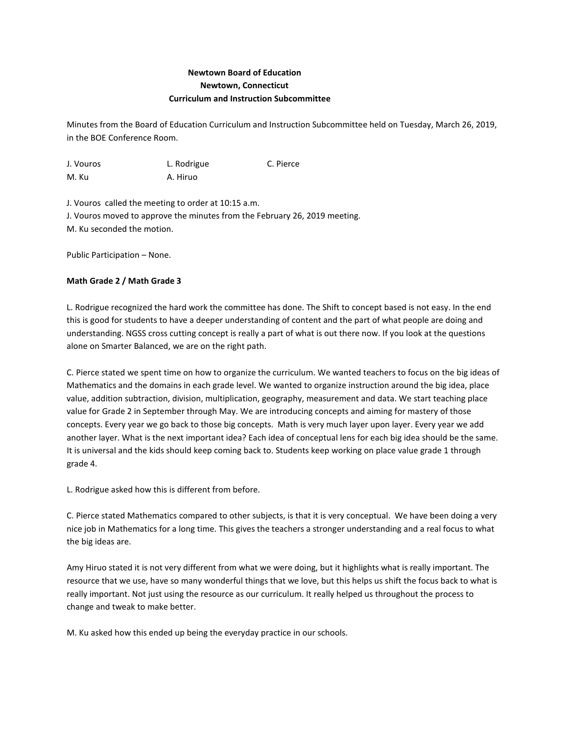## **Newtown Board of Education Newtown, Connecticut Curriculum and Instruction Subcommittee**

Minutes from the Board of Education Curriculum and Instruction Subcommittee held on Tuesday, March 26, 2019, in the BOE Conference Room.

| J. Vouros | L. Rodrigue | C. Pierce |
|-----------|-------------|-----------|
| M. Ku     | A. Hiruo    |           |

J. Vouros called the meeting to order at 10:15 a.m. J. Vouros moved to approve the minutes from the February 26, 2019 meeting. M. Ku seconded the motion.

Public Participation – None.

## **Math Grade 2 / Math Grade 3**

L. Rodrigue recognized the hard work the committee has done. The Shift to concept based is not easy. In the end this is good for students to have a deeper understanding of content and the part of what people are doing and understanding. NGSS cross cutting concept is really a part of what is out there now. If you look at the questions alone on Smarter Balanced, we are on the right path.

C. Pierce stated we spent time on how to organize the curriculum. We wanted teachers to focus on the big ideas of Mathematics and the domains in each grade level. We wanted to organize instruction around the big idea, place value, addition subtraction, division, multiplication, geography, measurement and data. We start teaching place value for Grade 2 in September through May. We are introducing concepts and aiming for mastery of those concepts. Every year we go back to those big concepts. Math is very much layer upon layer. Every year we add another layer. What is the next important idea? Each idea of conceptual lens for each big idea should be the same. It is universal and the kids should keep coming back to. Students keep working on place value grade 1 through grade 4.

L. Rodrigue asked how this is different from before.

C. Pierce stated Mathematics compared to other subjects, is that it is very conceptual. We have been doing a very nice job in Mathematics for a long time. This gives the teachers a stronger understanding and a real focus to what the big ideas are.

Amy Hiruo stated it is not very different from what we were doing, but it highlights what is really important. The resource that we use, have so many wonderful things that we love, but this helps us shift the focus back to what is really important. Not just using the resource as our curriculum. It really helped us throughout the process to change and tweak to make better.

M. Ku asked how this ended up being the everyday practice in our schools.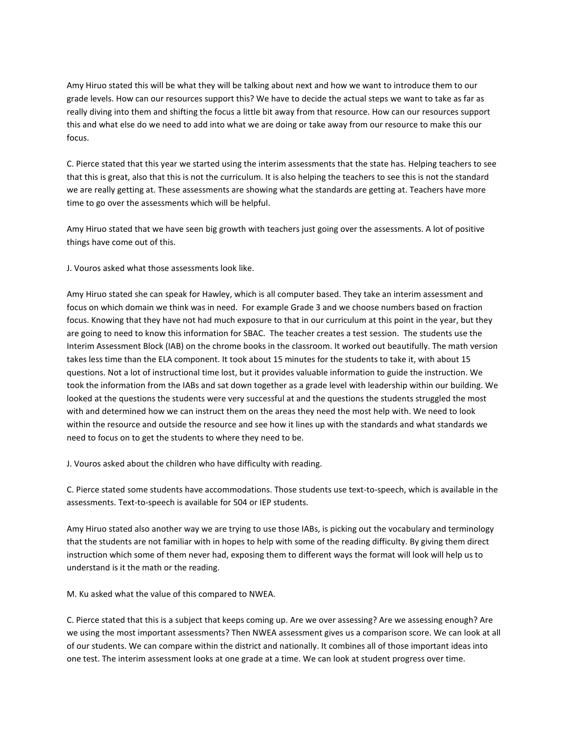Amy Hiruo stated this will be what they will be talking about next and how we want to introduce them to our grade levels. How can our resources support this? We have to decide the actual steps we want to take as far as really diving into them and shifting the focus a little bit away from that resource. How can our resources support this and what else do we need to add into what we are doing or take away from our resource to make this our focus.

C. Pierce stated that this year we started using the interim assessments that the state has. Helping teachers to see that this is great, also that this is not the curriculum. It is also helping the teachers to see this is not the standard we are really getting at. These assessments are showing what the standards are getting at. Teachers have more time to go over the assessments which will be helpful.

Amy Hiruo stated that we have seen big growth with teachers just going over the assessments. A lot of positive things have come out of this.

J. Vouros asked what those assessments look like.

Amy Hiruo stated she can speak for Hawley, which is all computer based. They take an interim assessment and focus on which domain we think was in need. For example Grade 3 and we choose numbers based on fraction focus. Knowing that they have not had much exposure to that in our curriculum at this point in the year, but they are going to need to know this information for SBAC. The teacher creates a test session. The students use the Interim Assessment Block (IAB) on the chrome books in the classroom. It worked out beautifully. The math version takes less time than the ELA component. It took about 15 minutes for the students to take it, with about 15 questions. Not a lot of instructional time lost, but it provides valuable information to guide the instruction. We took the information from the IABs and sat down together as a grade level with leadership within our building. We looked at the questions the students were very successful at and the questions the students struggled the most with and determined how we can instruct them on the areas they need the most help with. We need to look within the resource and outside the resource and see how it lines up with the standards and what standards we need to focus on to get the students to where they need to be.

J. Vouros asked about the children who have difficulty with reading.

C. Pierce stated some students have accommodations. Those students use text-to-speech, which is available in the assessments. Text-to-speech is available for 504 or IEP students.

Amy Hiruo stated also another way we are trying to use those IABs, is picking out the vocabulary and terminology that the students are not familiar with in hopes to help with some of the reading difficulty. By giving them direct instruction which some of them never had, exposing them to different ways the format will look will help us to understand is it the math or the reading.

M. Ku asked what the value of this compared to NWEA.

C. Pierce stated that this is a subject that keeps coming up. Are we over assessing? Are we assessing enough? Are we using the most important assessments? Then NWEA assessment gives us a comparison score. We can look at all of our students. We can compare within the district and nationally. It combines all of those important ideas into one test. The interim assessment looks at one grade at a time. We can look at student progress over time.